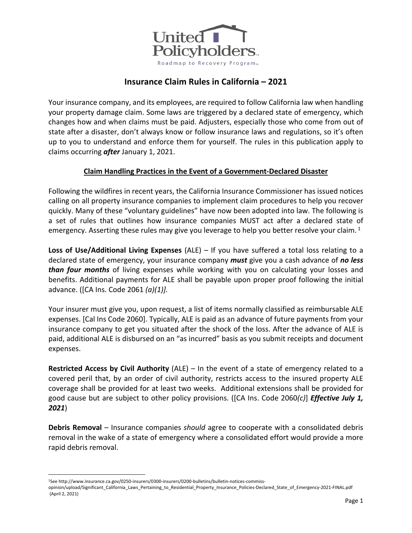

# **Insurance Claim Rules in California – 2021**

Your insurance company, and its employees, are required to follow California law when handling your property damage claim. Some laws are triggered by a declared state of emergency, which changes how and when claims must be paid. Adjusters, especially those who come from out of state after a disaster, don't always know or follow insurance laws and regulations, so it's often up to you to understand and enforce them for yourself. The rules in this publication apply to claims occurring *after* January 1, 2021.

# **Claim Handling Practices in the Event of a Government-Declared Disaster**

Following the wildfires in recent years, the California Insurance Commissioner has issued notices calling on all property insurance companies to implement claim procedures to help you recover quickly. Many of these "voluntary guidelines" have now been adopted into law. The following is a set of rules that outlines how insurance companies MUST act after a declared state of emergency. Asserting these rules may give you leverage to help you better resolve your claim.  $1$ 

**Loss of Use/Additional Living Expenses** (ALE) – If you have suffered a total loss relating to a declared state of emergency, your insurance company *must* give you a cash advance of *no less than four months* of living expenses while working with you on calculating your losses and benefits. Additional payments for ALE shall be payable upon proper proof following the initial advance. ([CA Ins. Code 2061 *(a)(1)].* 

Your insurer must give you, upon request, a list of items normally classified as reimbursable ALE expenses. [Cal Ins Code 2060]. Typically, ALE is paid as an advance of future payments from your insurance company to get you situated after the shock of the loss. After the advance of ALE is paid, additional ALE is disbursed on an "as incurred" basis as you submit receipts and document expenses.

**Restricted Access by Civil Authority** (ALE) – In the event of a state of emergency related to a covered peril that, by an order of civil authority, restricts access to the insured property ALE coverage shall be provided for at least two weeks. Additional extensions shall be provided for good cause but are subject to other policy provisions. ([CA Ins. Code 2060*(c)*] *Effective July 1, 2021*)

**Debris Removal** – Insurance companies *should* agree to cooperate with a consolidated debris removal in the wake of a state of emergency where a consolidated effort would provide a more rapid debris removal.

<sup>1</sup>See http://www.insurance.ca.gov/0250-insurers/0300-insurers/0200-bulletins/bulletin-notices-commiss-

opinion/upload/Significant\_California\_Laws\_Pertaining\_to\_Residential\_Property\_Insurance\_Policies-Declared\_State\_of\_Emergency-2021-FINAL.pdf (April 2, 2021)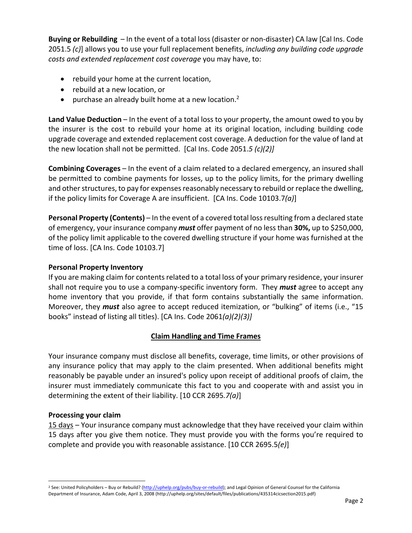**Buying or Rebuilding** – In the event of a total loss (disaster or non-disaster) CA law [Cal Ins. Code 2051.5 *(c)*] allows you to use your full replacement benefits, *including any building code upgrade costs and extended replacement cost coverage* you may have, to:

- rebuild your home at the current location,
- rebuild at a new location, or
- purchase an already built home at a new location. $2$

**Land Value Deduction** – In the event of a total loss to your property, the amount owed to you by the insurer is the cost to rebuild your home at its original location, including building code upgrade coverage and extended replacement cost coverage. A deduction for the value of land at the new location shall not be permitted. [Cal Ins. Code 2051.*5 (c)(2)]*

**Combining Coverages** – In the event of a claim related to a declared emergency, an insured shall be permitted to combine payments for losses, up to the policy limits, for the primary dwelling and other structures, to pay for expenses reasonably necessary to rebuild or replace the dwelling, if the policy limits for Coverage A are insufficient. [CA Ins. Code 10103.7*(a)*]

**Personal Property (Contents)** – In the event of a covered total loss resulting from a declared state of emergency, your insurance company *must* offer payment of no less than **30%,** up to \$250,000, of the policy limit applicable to the covered dwelling structure if your home was furnished at the time of loss. [CA Ins. Code 10103.7]

# **Personal Property Inventory**

If you are making claim for contents related to a total loss of your primary residence, your insurer shall not require you to use a company-specific inventory form. They *must* agree to accept any home inventory that you provide, if that form contains substantially the same information. Moreover, they *must* also agree to accept reduced itemization, or "bulking" of items (i.e., "15 books" instead of listing all titles). [CA Ins. Code 2061*(a)(2)(3)]*

# **Claim Handling and Time Frames**

Your insurance company must disclose all benefits, coverage, time limits, or other provisions of any insurance policy that may apply to the claim presented. When additional benefits might reasonably be payable under an insured's policy upon receipt of additional proofs of claim, the insurer must immediately communicate this fact to you and cooperate with and assist you in determining the extent of their liability. [10 CCR 2695*.7(a)*]

# **Processing your claim**

15 days – Your insurance company must acknowledge that they have received your claim within 15 days after you give them notice. They must provide you with the forms you're required to complete and provide you with reasonable assistance. [10 CCR 2695.5*(e)*]

<sup>&</sup>lt;sup>2</sup> See: United Policyholders – Buy or Rebuild? (http://uphelp.org/pubs/buy-or-rebuild); and Legal Opinion of General Counsel for the California Department of Insurance, Adam Code, April 3, 2008 (http://uphelp.org/sites/default/files/publications/435314cicsection2015.pdf)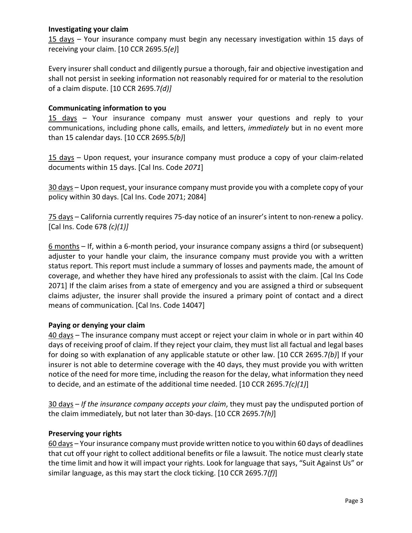# **Investigating your claim**

15 days – Your insurance company must begin any necessary investigation within 15 days of receiving your claim. [10 CCR 2695.5*(e)*]

Every insurer shall conduct and diligently pursue a thorough, fair and objective investigation and shall not persist in seeking information not reasonably required for or material to the resolution of a claim dispute. [10 CCR 2695.7*(d)]*

# **Communicating information to you**

15 days – Your insurance company must answer your questions and reply to your communications, including phone calls, emails, and letters, *immediately* but in no event more than 15 calendar days. [10 CCR 2695.5*(b)*]

15 days – Upon request, your insurance company must produce a copy of your claim-related documents within 15 days. [Cal Ins. Code *2071*]

30 days – Upon request, your insurance company must provide you with a complete copy of your policy within 30 days. [Cal Ins. Code 2071; 2084]

75 days – California currently requires 75-day notice of an insurer's intent to non-renew a policy. [Cal Ins. Code 678 *(c)(1)]*

6 months – If, within a 6-month period, your insurance company assigns a third (or subsequent) adjuster to your handle your claim, the insurance company must provide you with a written status report. This report must include a summary of losses and payments made, the amount of coverage, and whether they have hired any professionals to assist with the claim. [Cal Ins Code 2071] If the claim arises from a state of emergency and you are assigned a third or subsequent claims adjuster, the insurer shall provide the insured a primary point of contact and a direct means of communication. [Cal Ins. Code 14047]

# **Paying or denying your claim**

40 days – The insurance company must accept or reject your claim in whole or in part within 40 days of receiving proof of claim. If they reject your claim, they must list all factual and legal bases for doing so with explanation of any applicable statute or other law. [10 CCR 2695.7*(b)*] If your insurer is not able to determine coverage with the 40 days, they must provide you with written notice of the need for more time, including the reason for the delay, what information they need to decide, and an estimate of the additional time needed. [10 CCR 2695.7*(c)(1)*]

30 days – *If the insurance company accepts your claim*, they must pay the undisputed portion of the claim immediately, but not later than 30-days. [10 CCR 2695.7*(h)*]

# **Preserving your rights**

60 days – Your insurance company must provide written notice to you within 60 days of deadlines that cut off your right to collect additional benefits or file a lawsuit. The notice must clearly state the time limit and how it will impact your rights. Look for language that says, "Suit Against Us" or similar language, as this may start the clock ticking. [10 CCR 2695.7*(f)*]